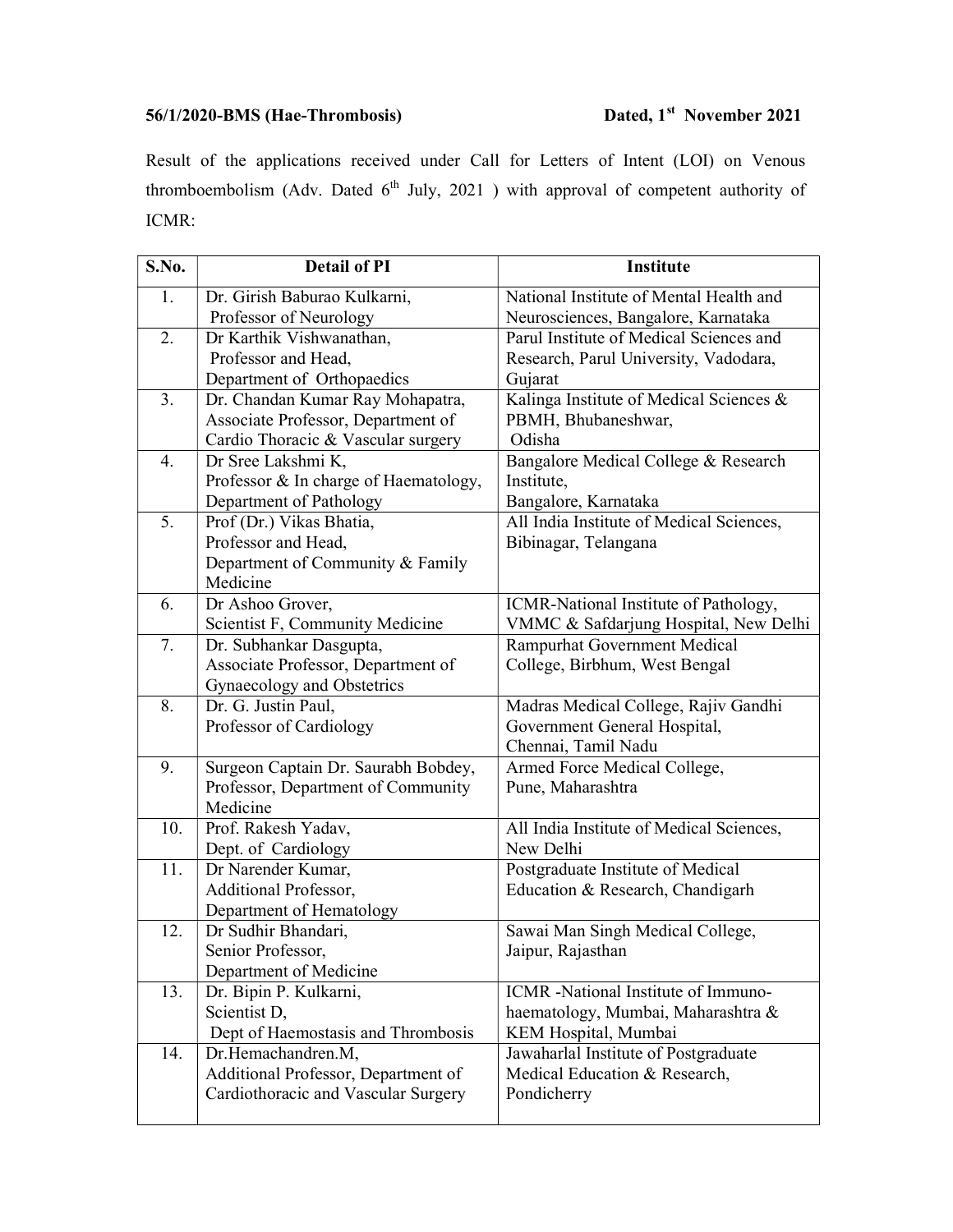## 56/1/2020-BMS (Hae-Thrombosis) Dated, 1<sup>st</sup> November 2021

Result of the applications received under Call for Letters of Intent (LOI) on Venous thromboembolism (Adv. Dated  $6<sup>th</sup>$  July, 2021) with approval of competent authority of ICMR:

| S.No. | <b>Detail of PI</b>                      | <b>Institute</b>                         |
|-------|------------------------------------------|------------------------------------------|
| 1.    | Dr. Girish Baburao Kulkarni,             | National Institute of Mental Health and  |
|       | Professor of Neurology                   | Neurosciences, Bangalore, Karnataka      |
| 2.    | Dr Karthik Vishwanathan,                 | Parul Institute of Medical Sciences and  |
|       | Professor and Head,                      | Research, Parul University, Vadodara,    |
|       | Department of Orthopaedics               | Gujarat                                  |
| 3.    | Dr. Chandan Kumar Ray Mohapatra,         | Kalinga Institute of Medical Sciences &  |
|       | Associate Professor, Department of       | PBMH, Bhubaneshwar,                      |
|       | Cardio Thoracic & Vascular surgery       | Odisha                                   |
| 4.    | Dr Sree Lakshmi K,                       | Bangalore Medical College & Research     |
|       | Professor & In charge of Haematology,    | Institute,                               |
|       | Department of Pathology                  | Bangalore, Karnataka                     |
| 5.    | Prof (Dr.) Vikas Bhatia,                 | All India Institute of Medical Sciences, |
|       | Professor and Head,                      | Bibinagar, Telangana                     |
|       | Department of Community & Family         |                                          |
|       | Medicine                                 |                                          |
| 6.    | Dr Ashoo Grover,                         | ICMR-National Institute of Pathology,    |
|       | Scientist F, Community Medicine          | VMMC & Safdarjung Hospital, New Delhi    |
| 7.    | Dr. Subhankar Dasgupta,                  | Rampurhat Government Medical             |
|       | Associate Professor, Department of       | College, Birbhum, West Bengal            |
|       | Gynaecology and Obstetrics               |                                          |
| 8.    | Dr. G. Justin Paul,                      | Madras Medical College, Rajiv Gandhi     |
|       | Professor of Cardiology                  | Government General Hospital,             |
|       |                                          | Chennai, Tamil Nadu                      |
| 9.    | Surgeon Captain Dr. Saurabh Bobdey,      | Armed Force Medical College,             |
|       | Professor, Department of Community       | Pune, Maharashtra                        |
|       | Medicine                                 |                                          |
| 10.   | Prof. Rakesh Yadav,                      | All India Institute of Medical Sciences, |
|       | Dept. of Cardiology                      | New Delhi                                |
| 11.   | Dr Narender Kumar,                       | Postgraduate Institute of Medical        |
|       | Additional Professor,                    | Education & Research, Chandigarh         |
|       | Department of Hematology                 |                                          |
| 12.   | Dr Sudhir Bhandari,<br>Senior Professor. | Sawai Man Singh Medical College,         |
|       | Department of Medicine                   | Jaipur, Rajasthan                        |
| 13.   | Dr. Bipin P. Kulkarni,                   | ICMR -National Institute of Immuno-      |
|       | Scientist D,                             | haematology, Mumbai, Maharashtra &       |
|       | Dept of Haemostasis and Thrombosis       | KEM Hospital, Mumbai                     |
| 14.   | Dr.Hemachandren.M,                       | Jawaharlal Institute of Postgraduate     |
|       | Additional Professor, Department of      | Medical Education & Research,            |
|       | Cardiothoracic and Vascular Surgery      | Pondicherry                              |
|       |                                          |                                          |